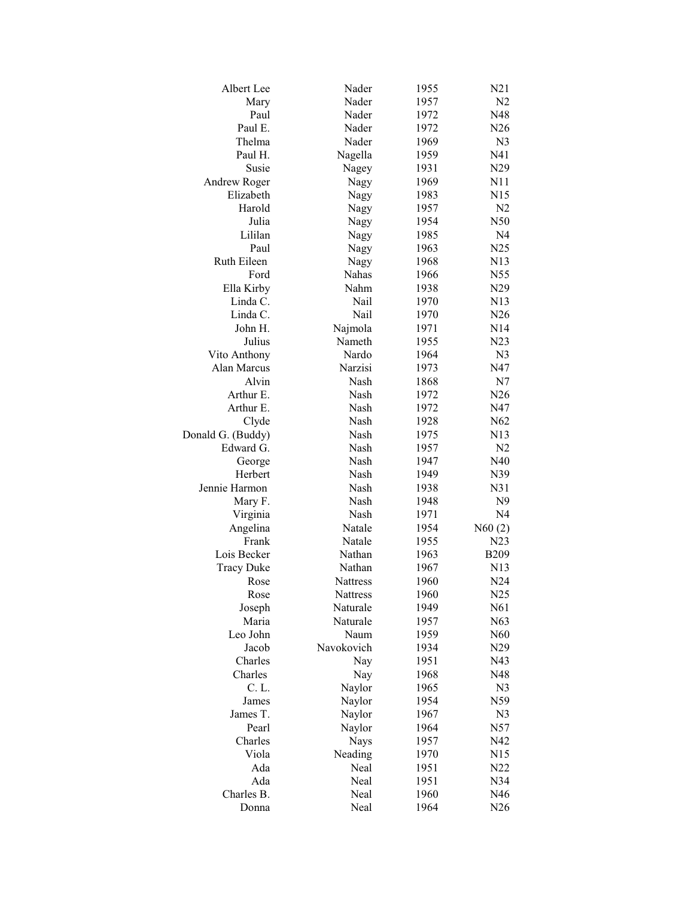| Albert Lee        | Nader               | 1955 | N21            |
|-------------------|---------------------|------|----------------|
| Mary              | Nader               | 1957 | N <sub>2</sub> |
| Paul              | Nader               | 1972 | N48            |
| Paul E.           | Nader               | 1972 | N26            |
| Thelma            | Nader               | 1969 | N <sub>3</sub> |
| Paul H.           | Nagella             | 1959 | N41            |
| Susie             | Nagey               | 1931 | N29            |
| Andrew Roger      | Nagy                | 1969 | N11            |
| Elizabeth         | Nagy                | 1983 | N15            |
| Harold            | Nagy                | 1957 | N <sub>2</sub> |
| Julia             | Nagy                | 1954 | N50            |
| Lililan           | Nagy                | 1985 | N <sub>4</sub> |
| Paul              | Nagy                | 1963 | N25            |
| Ruth Eileen       | Nagy                | 1968 | N13            |
| Ford              | Nahas               | 1966 | N55            |
| Ella Kirby        | Nahm                | 1938 | N29            |
| Linda C.          | Nail                | 1970 | N13            |
| Linda C.          | Nail                | 1970 | N26            |
| John H.           | Najmola             | 1971 | N14            |
| Julius            | Nameth              | 1955 | N23            |
| Vito Anthony      | Nardo               | 1964 | N <sub>3</sub> |
|                   |                     |      |                |
| Alan Marcus       | Narzisi             | 1973 | N47            |
| Alvin             | Nash<br><b>Nash</b> | 1868 | N7             |
| Arthur E.         |                     | 1972 | N26            |
| Arthur E.         | Nash                | 1972 | N47            |
| Clyde             | Nash                | 1928 | N62            |
| Donald G. (Buddy) | Nash                | 1975 | N13            |
| Edward G.         | Nash                | 1957 | N <sub>2</sub> |
| George            | Nash                | 1947 | N40            |
| Herbert           | Nash                | 1949 | N39            |
| Jennie Harmon     | Nash                | 1938 | N31            |
| Mary F.           | Nash                | 1948 | N9             |
| Virginia          | Nash                | 1971 | N <sub>4</sub> |
| Angelina          | Natale              | 1954 | N60(2)         |
| Frank             | Natale              | 1955 | N23            |
| Lois Becker       | Nathan              | 1963 | <b>B209</b>    |
| <b>Tracy Duke</b> | Nathan              | 1967 | N13            |
| Rose              | Nattress            | 1960 | N24            |
| Rose              | Nattress            | 1960 | N25            |
| Joseph            | Naturale            | 1949 | N61            |
| Maria             | Naturale            | 1957 | N63            |
| Leo John          | Naum                | 1959 | N60            |
| Jacob             | Navokovich          | 1934 | N29            |
| Charles           | Nay                 | 1951 | N43            |
| Charles           | Nay                 | 1968 | N48            |
| C. L.             | Naylor              | 1965 | N <sub>3</sub> |
| James             | Naylor              | 1954 | N59            |
| James T.          | Naylor              | 1967 | N <sub>3</sub> |
| Pearl             | Naylor              | 1964 | N57            |
| Charles           | <b>Nays</b>         | 1957 | N42            |
| Viola             | Neading             | 1970 | N15            |
| Ada               | Neal                | 1951 | N22            |
| Ada               | Neal                | 1951 | N34            |
| Charles B.        | Neal                | 1960 | N46            |
| Donna             | Neal                | 1964 | N26            |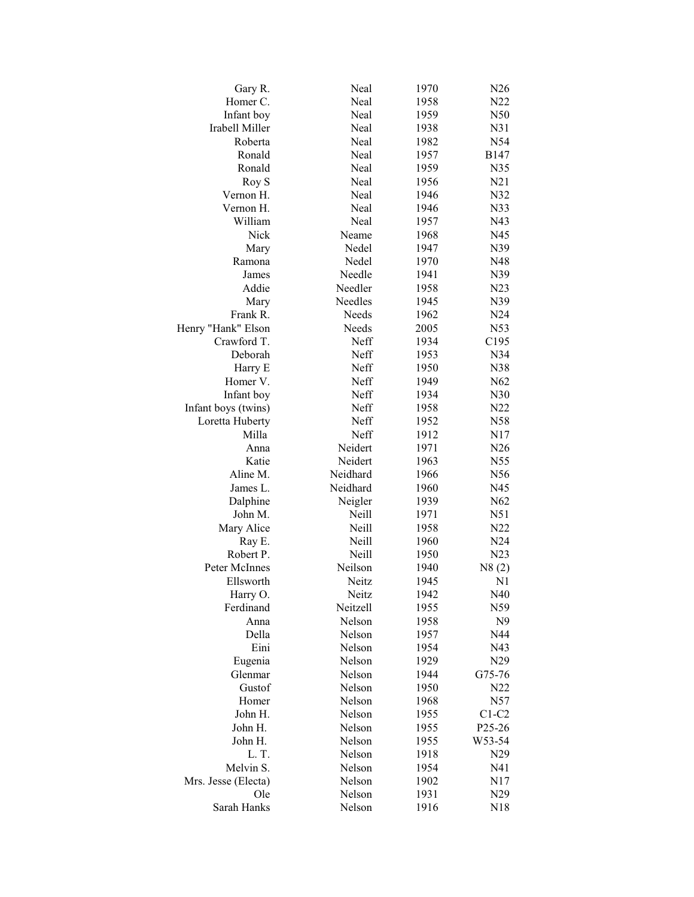| Gary R.             | Neal     | 1970 | N <sub>26</sub> |
|---------------------|----------|------|-----------------|
| Homer C.            | Neal     | 1958 | N22             |
| Infant boy          | Neal     | 1959 | N50             |
| Irabell Miller      | Neal     | 1938 | N31             |
| Roberta             | Neal     | 1982 | N54             |
| Ronald              | Neal     | 1957 | B147            |
| Ronald              | Neal     | 1959 | N35             |
| Roy S               | Neal     | 1956 | N21             |
| Vernon H.           | Neal     | 1946 | N32             |
| Vernon H.           | Neal     | 1946 | N33             |
| William             | Neal     | 1957 | N43             |
| Nick                | Neame    | 1968 | N45             |
| Mary                | Nedel    | 1947 | N39             |
| Ramona              | Nedel    | 1970 | N48             |
| James               | Needle   | 1941 | N39             |
| Addie               | Needler  | 1958 | N23             |
| Mary                | Needles  | 1945 | N39             |
| Frank R.            | Needs    | 1962 | N24             |
| Henry "Hank" Elson  | Needs    | 2005 | N53             |
| Crawford T.         | Neff     | 1934 | C195            |
| Deborah             | Neff     | 1953 | N34             |
| Harry E             | Neff     | 1950 | N38             |
| Homer V.            | Neff     | 1949 | N62             |
| Infant boy          | Neff     | 1934 | N30             |
|                     | Neff     | 1958 | N22             |
| Infant boys (twins) |          |      |                 |
| Loretta Huberty     | Neff     | 1952 | N58             |
| Milla               | Neff     | 1912 | N17             |
| Anna                | Neidert  | 1971 | N26             |
| Katie               | Neidert  | 1963 | N55             |
| Aline M.            | Neidhard | 1966 | N56             |
| James L.            | Neidhard | 1960 | N45             |
| Dalphine            | Neigler  | 1939 | N62             |
| John M.             | Neill    | 1971 | N51             |
| Mary Alice          | Neill    | 1958 | N22             |
| Ray E.              | Neill    | 1960 | N24             |
| Robert P.           | Neill    | 1950 | N23             |
| Peter McInnes       | Neilson  | 1940 | N8(2)           |
| Ellsworth           | Neitz    | 1945 | N <sub>1</sub>  |
| Harry O.            | Neitz    | 1942 | N40             |
| Ferdinand           | Neitzell | 1955 | N59             |
| Anna                | Nelson   | 1958 | N9              |
| Della               | Nelson   | 1957 | N44             |
| Eini                | Nelson   | 1954 | N43             |
| Eugenia             | Nelson   | 1929 | N29             |
| Glenmar             | Nelson   | 1944 | G75-76          |
| Gustof              | Nelson   | 1950 | N22             |
| Homer               | Nelson   | 1968 | N57             |
| John H.             | Nelson   | 1955 | $C1-C2$         |
| John H.             | Nelson   | 1955 | P25-26          |
| John H.             | Nelson   | 1955 | W53-54          |
| L.T.                | Nelson   | 1918 | N29             |
| Melvin S.           | Nelson   | 1954 | N41             |
| Mrs. Jesse (Electa) | Nelson   | 1902 | N17             |
| Ole                 | Nelson   | 1931 | N29             |
| Sarah Hanks         | Nelson   | 1916 | N18             |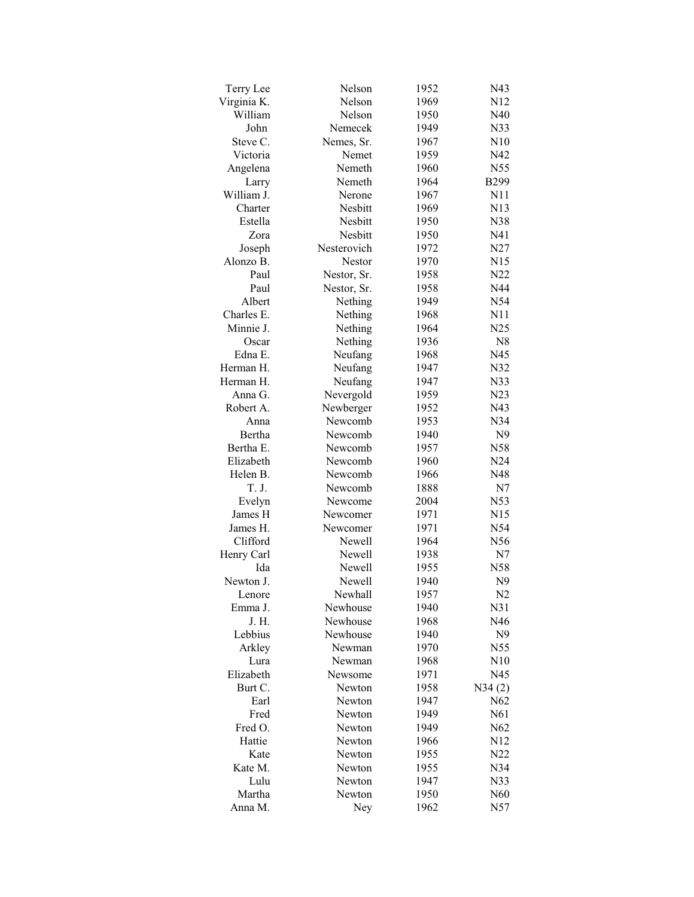| Terry Lee   | Nelson         | 1952         | N43             |
|-------------|----------------|--------------|-----------------|
| Virginia K. | Nelson         | 1969         | N <sub>12</sub> |
| William     | Nelson         | 1950         | N40             |
| John        | Nemecek        | 1949         | N33             |
| Steve C.    | Nemes, Sr.     | 1967         | N10             |
| Victoria    | Nemet          | 1959         | N42             |
| Angelena    | Nemeth         | 1960         | N55             |
| Larry       | Nemeth         | 1964         | <b>B299</b>     |
| William J.  | Nerone         | 1967         | N11             |
| Charter     | <b>Nesbitt</b> | 1969         | N13             |
| Estella     | Nesbitt        | 1950         | N38             |
| Zora        | Nesbitt        | 1950         | N41             |
| Joseph      | Nesterovich    | 1972         | N27             |
| Alonzo B.   | Nestor         | 1970         | N15             |
| Paul        | Nestor, Sr.    | 1958         | N <sub>22</sub> |
| Paul        | Nestor, Sr.    | 1958         | N44             |
| Albert      | Nething        | 1949         | N54             |
| Charles E.  | Nething        | 1968         | N11             |
| Minnie J.   | Nething        | 1964         | N25             |
| Oscar       | Nething        | 1936         | N8              |
| Edna E.     | Neufang        |              |                 |
|             |                | 1968         | N45             |
| Herman H.   | Neufang        | 1947         | N32             |
| Herman H.   | Neufang        | 1947         | N33             |
| Anna G.     | Nevergold      | 1959         | N23             |
| Robert A.   | Newberger      | 1952         | N43             |
| Anna        | Newcomb        | 1953         | N34             |
| Bertha      | Newcomb        | 1940         | N <sub>9</sub>  |
| Bertha E.   | Newcomb        | 1957         | N58             |
| Elizabeth   | Newcomb        | 1960         | N24             |
| Helen B.    | Newcomb        | 1966         | N48             |
| T. J.       | Newcomb        | 1888         | N7              |
| Evelyn      | Newcome        | 2004         | N53             |
| James H     | Newcomer       | 1971         | N15             |
| James H.    | Newcomer       | 1971         | N54             |
| Clifford    | Newell         | 1964         | N56             |
| Henry Carl  | Newell         | 1938         | N7              |
| Ida         | Newell         | 1955         | N58             |
| Newton J.   | Newell         | 1940         | N <sub>9</sub>  |
| Lenore      | Newhall        | 1957         | N <sub>2</sub>  |
| Emma J.     | Newhouse       | 1940         | N31             |
| J. H.       | Newhouse       | 1968         | N46             |
| Lebbius     | Newhouse       | 1940         | N9              |
| Arkley      | Newman         | 1970         | N55             |
| Lura        | Newman         | 1968         | N10             |
| Elizabeth   | Newsome        | 1971         | N45             |
| Burt C.     | Newton         | 1958         | N34(2)          |
| Earl        | Newton         | 1947         | N62             |
| Fred        | Newton         | 1949         | N61             |
| Fred O.     | Newton         | 1949         | N62             |
| Hattie      | Newton         | 1966         | N12             |
| Kate        | Newton         | 1955         | N22             |
| Kate M.     | Newton         | 1955         | N34             |
| Lulu        | Newton         |              |                 |
| Martha      | Newton         | 1947<br>1950 | N33<br>N60      |
|             |                |              |                 |
| Anna M.     | Ney            | 1962         | N57             |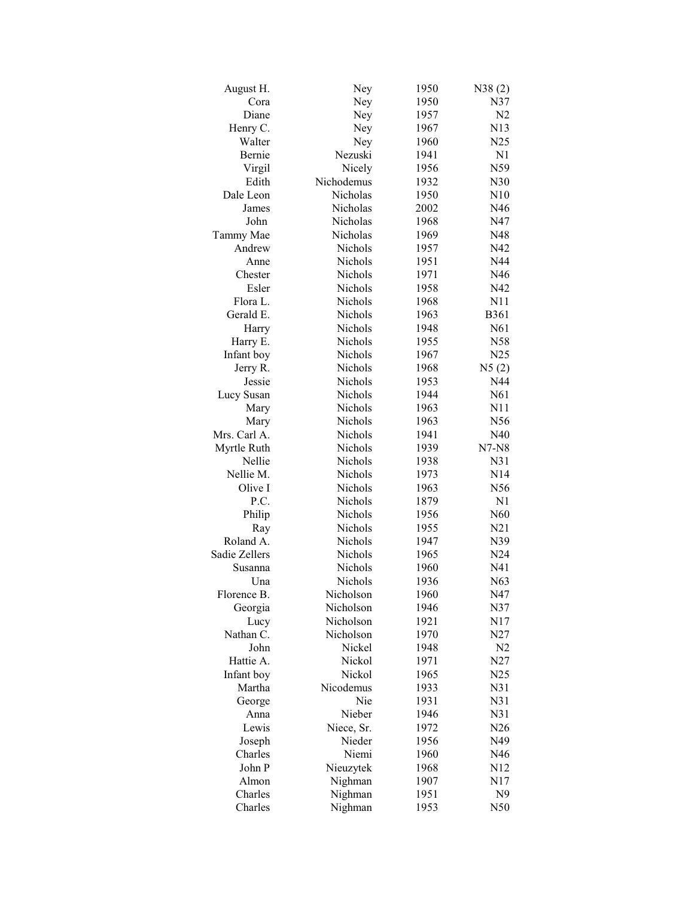| August H.         | Ney             | 1950         | N38(2)          |
|-------------------|-----------------|--------------|-----------------|
| Cora              | Ney             | 1950         | N37             |
| Diane             | Ney             | 1957         | N <sub>2</sub>  |
| Henry C.          | Ney             | 1967         | N13             |
| Walter            | Ney             | 1960         | N25             |
| Bernie            | Nezuski         | 1941         | N1              |
| Virgil            | Nicely          | 1956         | N59             |
| Edith             | Nichodemus      | 1932         | N30             |
| Dale Leon         | Nicholas        | 1950         | N10             |
| James             | Nicholas        | 2002         | N46             |
| John              | Nicholas        | 1968         | N47             |
| Tammy Mae         | Nicholas        | 1969         | N48             |
| Andrew            | Nichols         | 1957         | N42             |
| Anne              | Nichols         | 1951         | N44             |
| Chester           | Nichols         | 1971         | N46             |
| Esler             | Nichols         | 1958         | N42             |
| Flora L.          | <b>Nichols</b>  | 1968         | N11             |
| Gerald E.         | <b>Nichols</b>  | 1963         | <b>B361</b>     |
| Harry             | Nichols         | 1948         | N61             |
| Harry E.          | Nichols         | 1955         | N58             |
| Infant boy        | Nichols         | 1967         | N25             |
| Jerry R.          | Nichols         | 1968         | N5(2)           |
| Jessie            | <b>Nichols</b>  | 1953         | N44             |
| Lucy Susan        | Nichols         | 1944         | N61             |
| Mary              | Nichols         | 1963         | N11             |
| Mary              | Nichols         | 1963         | N56             |
| Mrs. Carl A.      | Nichols         | 1941         | N40             |
| Myrtle Ruth       | Nichols         | 1939         | $N7-N8$         |
| Nellie            | <b>Nichols</b>  | 1938         | N <sub>31</sub> |
| Nellie M.         | <b>Nichols</b>  | 1973         | N14             |
| Olive I           | <b>Nichols</b>  | 1963         | N56             |
| P.C.              | Nichols         | 1879         | N1              |
| Philip            | Nichols         | 1956         | N <sub>60</sub> |
| Ray               | Nichols         | 1955         | N21             |
| Roland A.         | Nichols         | 1947         | N39             |
| Sadie Zellers     | Nichols         | 1965         | N24             |
| Susanna           | Nichols         | 1960         | N41             |
| Una               | Nichols         | 1936         | N63             |
| Florence B.       | Nicholson       | 1960         | N47             |
| Georgia           | Nicholson       | 1946         | N37             |
| Lucy              | Nicholson       | 1921         | N17             |
| Nathan C.         | Nicholson       | 1970         | N27             |
| John              | Nickel          | 1948         | N <sub>2</sub>  |
| Hattie A.         | Nickol          | 1971         | N27             |
| Infant boy        | Nickol          | 1965         | N25             |
| Martha            | Nicodemus       | 1933         | N31             |
| George            | Nie             | 1931         | N31             |
| Anna              | Nieber          | 1946         | N31             |
| Lewis             | Niece, Sr.      |              | N26             |
|                   |                 | 1972         |                 |
| Joseph<br>Charles | Nieder<br>Niemi | 1956<br>1960 | N49<br>N46      |
| John P            |                 |              |                 |
|                   | Nieuzytek       | 1968         | N12             |
| Almon             | Nighman         | 1907         | N17             |
| Charles           | Nighman         | 1951         | N <sub>9</sub>  |
| Charles           | Nighman         | 1953         | N50             |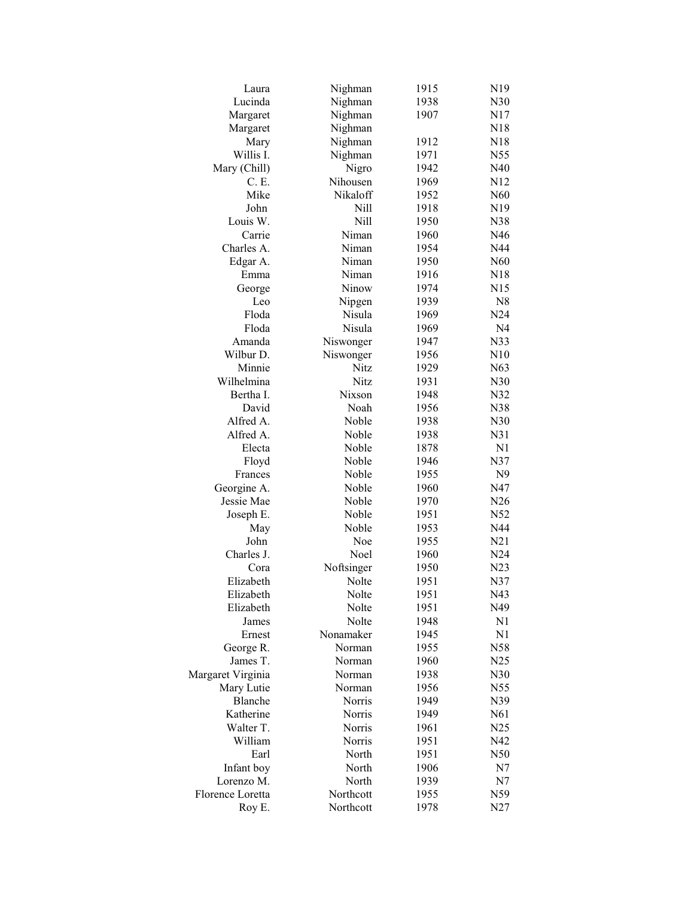| Laura                    | Nighman            | 1915 | N19             |
|--------------------------|--------------------|------|-----------------|
| Lucinda                  | Nighman            | 1938 | N30             |
| Margaret                 | Nighman            | 1907 | N17             |
| Margaret                 | Nighman            |      | N18             |
| Mary                     | Nighman            | 1912 | N18             |
| Willis I.                | Nighman            | 1971 | N55             |
| Mary (Chill)             | Nigro              | 1942 | N40             |
| C. E.                    | Nihousen           | 1969 | N <sub>12</sub> |
| Mike                     | Nikaloff           | 1952 | N60             |
| John                     | Nill               | 1918 | N <sub>19</sub> |
| Louis W.                 | Nill               | 1950 | N38             |
| Carrie                   | Niman              | 1960 | N46             |
| Charles A.               | Niman              | 1954 | N44             |
| Edgar A.                 | Niman              | 1950 | N60             |
| Emma                     | Niman              | 1916 | N <sub>18</sub> |
|                          | Ninow              | 1974 | N15             |
| George                   |                    |      |                 |
| Leo                      | Nipgen             | 1939 | N8              |
| Floda                    | Nisula             | 1969 | N24             |
| Floda                    | Nisula             | 1969 | N <sub>4</sub>  |
| Amanda                   | Niswonger          | 1947 | N33             |
| Wilbur D.                | Niswonger          | 1956 | N10             |
| Minnie                   | Nitz               | 1929 | N63             |
| Wilhelmina               | <b>Nitz</b>        | 1931 | N30             |
| Bertha I.                | Nixson             | 1948 | N32             |
| David                    | Noah               | 1956 | N38             |
| Alfred A.                | Noble              | 1938 | N30             |
| Alfred A.                | Noble              | 1938 | N31             |
| Electa                   | Noble              | 1878 | N <sub>1</sub>  |
| Floyd                    | Noble              | 1946 | N37             |
| Frances                  | Noble              | 1955 | N <sub>9</sub>  |
| Georgine A.              | Noble              | 1960 | N47             |
| Jessie Mae               | Noble              | 1970 | N26             |
| Joseph E.                | Noble              | 1951 | N52             |
| May                      | Noble              | 1953 | N44             |
| John                     | Noe                | 1955 | N21             |
| Charles J.               | Noel               | 1960 | N24             |
| Cora                     | Noftsinger         | 1950 | N23             |
| Elizabeth                | Nolte              | 1951 | N37             |
| Elizabeth                | Nolte              | 1951 | N43             |
| Elizabeth                | Nolte              | 1951 | N49             |
| James                    | Nolte              | 1948 | N <sub>1</sub>  |
| Ernest                   | Nonamaker          | 1945 | N1              |
| George R.                | Norman             | 1955 | N58             |
| James T.                 | Norman             | 1960 | N25             |
| Margaret Virginia        | Norman             | 1938 | N30             |
| Mary Lutie               | Norman             | 1956 | N55             |
| Blanche                  | Norris             | 1949 | N39             |
| Katherine                | Norris             | 1949 | N61             |
| Walter T.                | Norris             | 1961 | N25             |
| William                  | Norris             | 1951 | N42             |
| Earl                     | North              | 1951 | N50             |
|                          | North              | 1906 | N7              |
| Infant boy<br>Lorenzo M. |                    |      |                 |
|                          | North<br>Northcott | 1939 | N7              |
| Florence Loretta         |                    | 1955 | N59             |
| Roy E.                   | Northcott          | 1978 | N27             |